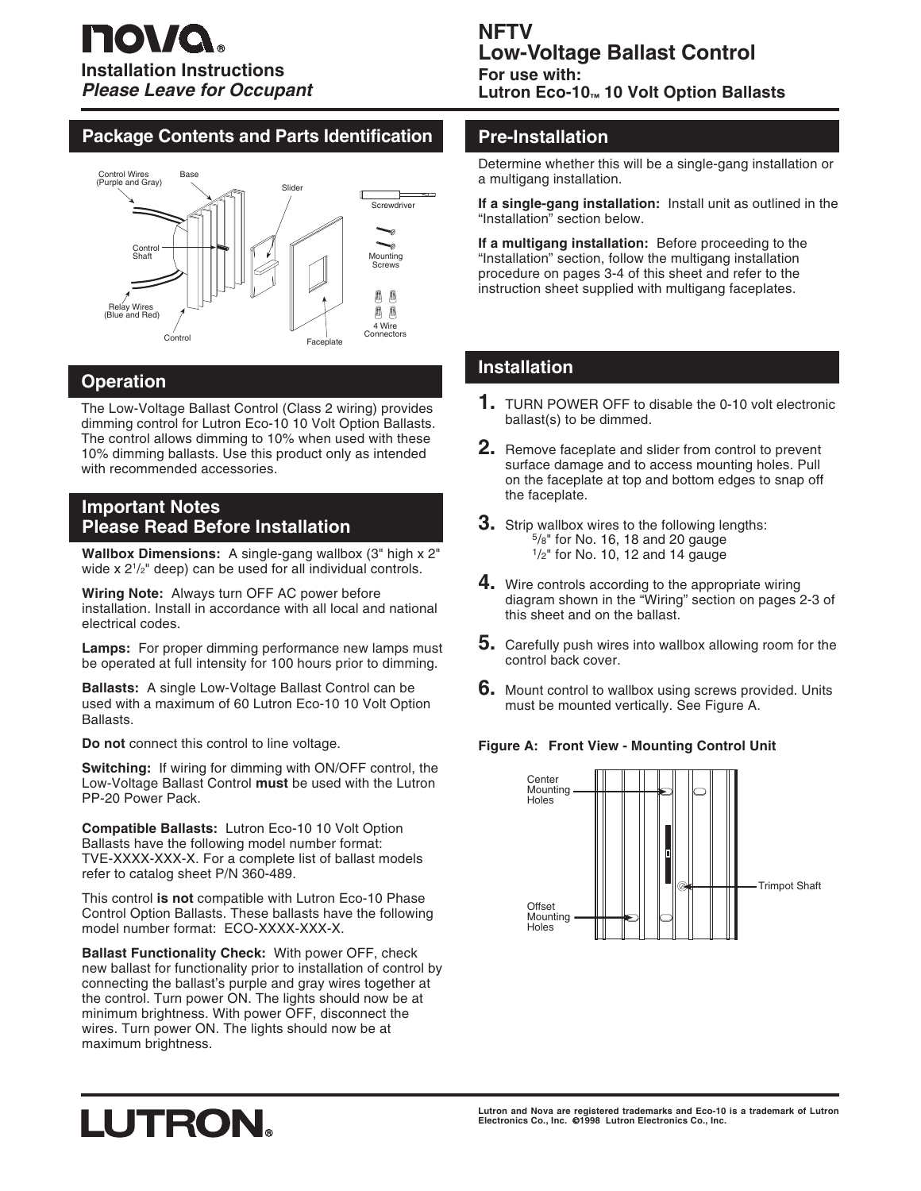## **Package Contents and Parts Identification**



## **Operation**

The Low-Voltage Ballast Control (Class 2 wiring) provides dimming control for Lutron Eco-10 10 Volt Option Ballasts. The control allows dimming to 10% when used with these 10% dimming ballasts. Use this product only as intended with recommended accessories.

## **Important Notes Please Read Before Installation**

**Wallbox Dimensions:** A single-gang wallbox (3" high x 2" wide x  $2^{1/2}$ " deep) can be used for all individual controls.

**Wiring Note:** Always turn OFF AC power before installation. Install in accordance with all local and national electrical codes.

**Lamps:** For proper dimming performance new lamps must be operated at full intensity for 100 hours prior to dimming.

**Ballasts:** A single Low-Voltage Ballast Control can be used with a maximum of 60 Lutron Eco-10 10 Volt Option Ballasts.

**Do not** connect this control to line voltage.

**Switching:** If wiring for dimming with ON/OFF control, the Low-Voltage Ballast Control **must** be used with the Lutron PP-20 Power Pack.

**Compatible Ballasts:** Lutron Eco-10 10 Volt Option Ballasts have the following model number format: TVE-XXXX-XXX-X. For a complete list of ballast models refer to catalog sheet P/N 360-489.

This control **is not** compatible with Lutron Eco-10 Phase Control Option Ballasts. These ballasts have the following model number format: ECO-XXXX-XXX-X.

**Ballast Functionality Check:** With power OFF, check new ballast for functionality prior to installation of control by connecting the ballast's purple and gray wires together at the control. Turn power ON. The lights should now be at minimum brightness. With power OFF, disconnect the wires. Turn power ON. The lights should now be at maximum brightness.

## **NFTV Low-Voltage Ballast Control**

**For use with: Lutron Eco-10™ 10 Volt Option Ballasts**

## **Pre-Installation**

Determine whether this will be a single-gang installation or a multigang installation.

**If a single-gang installation:** Install unit as outlined in the "Installation" section below.

**If a multigang installation:** Before proceeding to the "Installation" section, follow the multigang installation procedure on pages 3-4 of this sheet and refer to the instruction sheet supplied with multigang faceplates.

## **Installation**

- **1.** TURN POWER OFF to disable the 0-10 volt electronic ballast(s) to be dimmed.
- **2.** Remove faceplate and slider from control to prevent surface damage and to access mounting holes. Pull on the faceplate at top and bottom edges to snap off the faceplate.
- **3.** Strip wallbox wires to the following lengths:<br><sup>5</sup>/8" for No. 16, 18 and 20 gauge  $1/2$ " for No. 10, 12 and 14 gauge
- **4.** Wire controls according to the appropriate wiring diagram shown in the "Wiring" section on pages 2-3 of this sheet and on the ballast.
- **5.** Carefully push wires into wallbox allowing room for the control back cover.
- **6.** Mount control to wallbox using screws provided. Units must be mounted vertically. See Figure A.

#### **Figure A: Front View - Mounting Control Unit**



# LUTRON.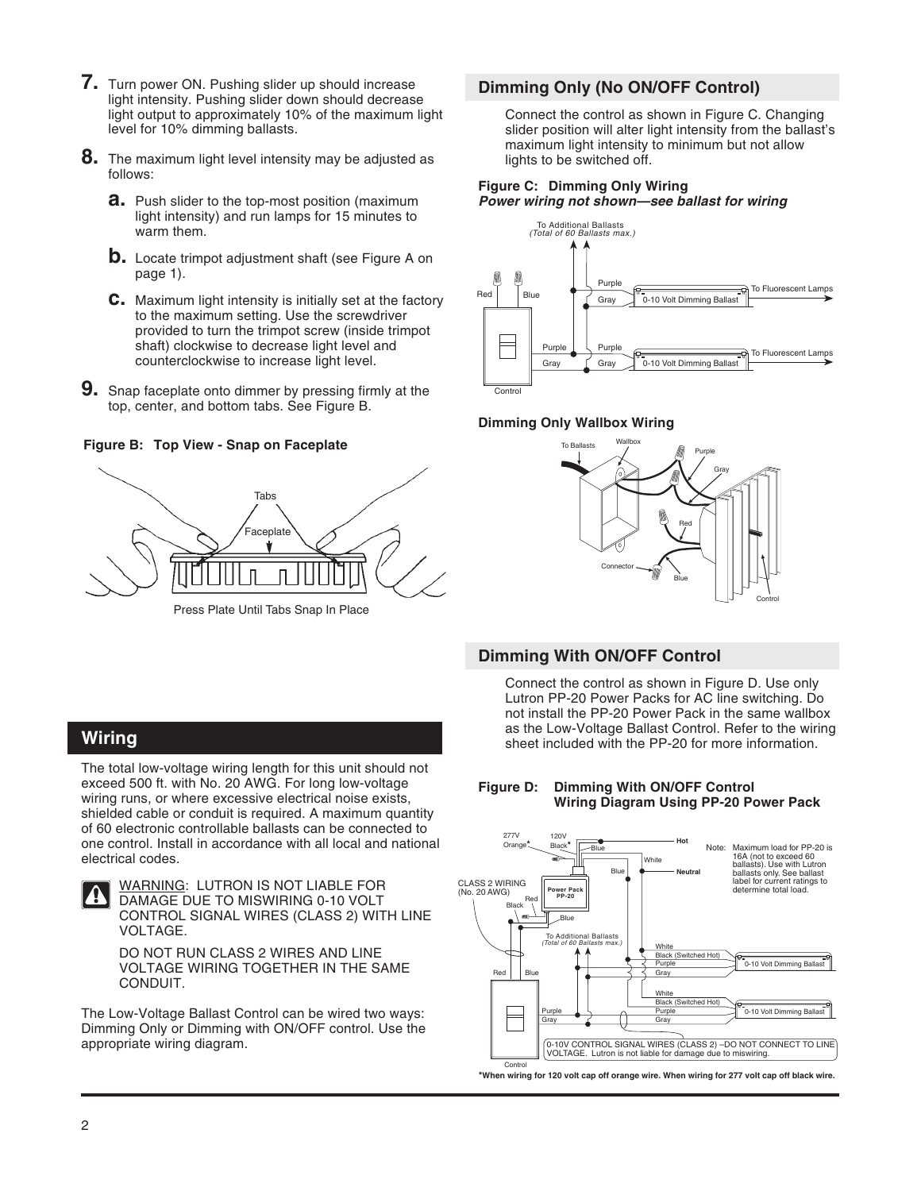- **7.** Turn power ON. Pushing slider up should increase light intensity. Pushing slider down should decrease light output to approximately 10% of the maximum light level for 10% dimming ballasts.
- **8.** The maximum light level intensity may be adjusted as follows:
	- **a.** Push slider to the top-most position (maximum light intensity) and run lamps for 15 minutes to warm them.
	- **b.** Locate trimpot adjustment shaft (see Figure A on page 1).
	- **c.** Maximum light intensity is initially set at the factory to the maximum setting. Use the screwdriver provided to turn the trimpot screw (inside trimpot shaft) clockwise to decrease light level and counterclockwise to increase light level.
- **9.** Snap faceplate onto dimmer by pressing firmly at the top, center, and bottom tabs. See Figure B.

**Figure B: Top View - Snap on Faceplate**



## **Dimming Only (No ON/OFF Control)**

Connect the control as shown in Figure C. Changing slider position will alter light intensity from the ballast's maximum light intensity to minimum but not allow lights to be switched off.

#### **Figure C: Dimming Only Wiring Power wiring not shown—see ballast for wiring**



#### **Dimming Only Wallbox Wiring**



## **Dimming With ON/OFF Control**

Connect the control as shown in Figure D. Use only Lutron PP-20 Power Packs for AC line switching. Do not install the PP-20 Power Pack in the same wallbox as the Low-Voltage Ballast Control. Refer to the wiring sheet included with the PP-20 for more information.

#### **Figure D: Dimming With ON/OFF Control Wiring Diagram Using PP-20 Power Pack**



**\*When wiring for 120 volt cap off orange wire. When wiring for 277 volt cap off black wire.**

## **Wiring**

The total low-voltage wiring length for this unit should not exceed 500 ft. with No. 20 AWG. For long low-voltage wiring runs, or where excessive electrical noise exists, shielded cable or conduit is required. A maximum quantity of 60 electronic controllable ballasts can be connected to one control. Install in accordance with all local and national electrical codes.



WARNING: LUTRON IS NOT LIABLE FOR DAMAGE DUE TO MISWIRING 0-10 VOLT CONTROL SIGNAL WIRES (CLASS 2) WITH LINE VOLTAGE.

DO NOT RUN CLASS 2 WIRES AND LINE VOLTAGE WIRING TOGETHER IN THE SAME CONDUIT.

The Low-Voltage Ballast Control can be wired two ways: Dimming Only or Dimming with ON/OFF control. Use the appropriate wiring diagram.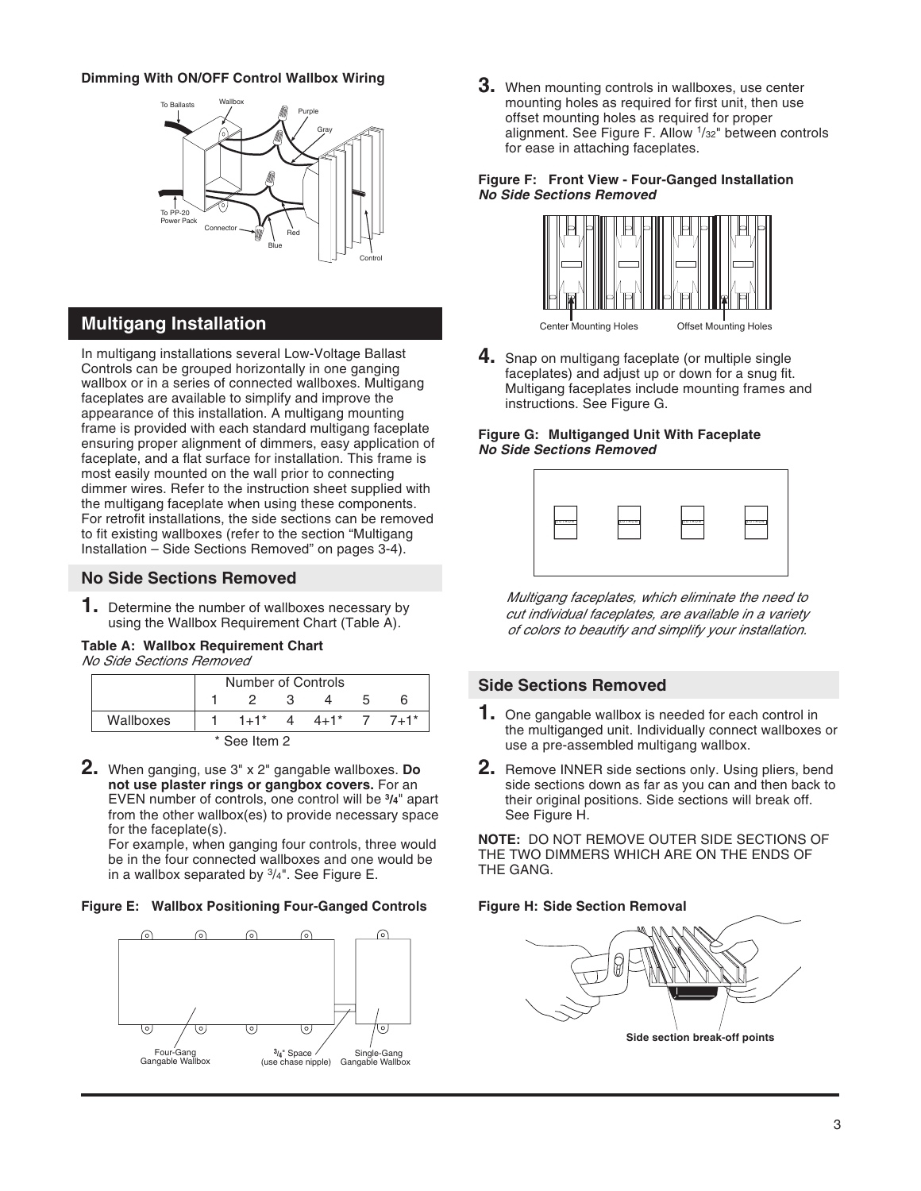#### **Dimming With ON/OFF Control Wallbox Wiring**



## **Multigang Installation**

In multigang installations several Low-Voltage Ballast Controls can be grouped horizontally in one ganging wallbox or in a series of connected wallboxes. Multigang faceplates are available to simplify and improve the appearance of this installation. A multigang mounting frame is provided with each standard multigang faceplate ensuring proper alignment of dimmers, easy application of faceplate, and a flat surface for installation. This frame is most easily mounted on the wall prior to connecting dimmer wires. Refer to the instruction sheet supplied with the multigang faceplate when using these components. For retrofit installations, the side sections can be removed to fit existing wallboxes (refer to the section "Multigang Installation – Side Sections Removed" on pages 3-4).

#### **No Side Sections Removed**

**1.** Determine the number of wallboxes necessary by using the Wallbox Requirement Chart (Table A).

#### **Table A: Wallbox Requirement Chart**

No Side Sections Removed

|           | Number of Controls |  |            |  |                |  |
|-----------|--------------------|--|------------|--|----------------|--|
|           |                    |  |            |  |                |  |
| Wallboxes | $1+1$ *            |  | $4 \t 4+1$ |  | $7 \t 7 + 1$ * |  |
|           | * See Item 2       |  |            |  |                |  |

**2.** When ganging, use 3" x 2" gangable wallboxes. **Do not use plaster rings or gangbox covers.** For an EVEN number of controls, one control will be **3/4**" apart from the other wallbox(es) to provide necessary space for the faceplate(s).

For example, when ganging four controls, three would be in the four connected wallboxes and one would be in a wallbox separated by  $3/4$ ". See Figure E.

#### **Figure E: Wallbox Positioning Four-Ganged Controls**



**3.** When mounting controls in wallboxes, use center mounting holes as required for first unit, then use offset mounting holes as required for proper alignment. See Figure F. Allow 1/32" between controls for ease in attaching faceplates.

#### **Figure F: Front View - Four-Ganged Installation No Side Sections Removed**



**4.** Snap on multigang faceplate (or multiple single faceplates) and adjust up or down for a snug fit. Multigang faceplates include mounting frames and instructions. See Figure G.

#### **Figure G: Multiganged Unit With Faceplate No Side Sections Removed**



Multigang faceplates, which eliminate the need to cut individual faceplates, are available in a variety of colors to beautify and simplify your installation.

#### **Side Sections Removed**

- **1.** One gangable wallbox is needed for each control in the multiganged unit. Individually connect wallboxes or use a pre-assembled multigang wallbox.
- **2.** Remove INNER side sections only. Using pliers, bend side sections down as far as you can and then back to their original positions. Side sections will break off. See Figure H.

**NOTE:** DO NOT REMOVE OUTER SIDE SECTIONS OF THE TWO DIMMERS WHICH ARE ON THE ENDS OF THE GANG.

#### **Figure H: Side Section Removal**